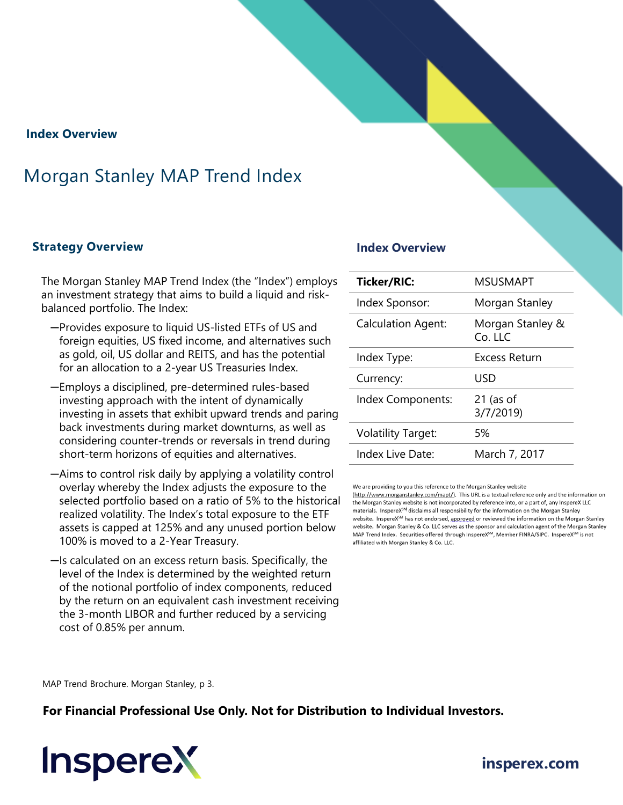## **Index Overview**

# Morgan Stanley MAP Trend Index

### **Strategy Overview Index Overview**

The Morgan Stanley MAP Trend Index (the "Index") employs an investment strategy that aims to build a liquid and riskbalanced portfolio. The Index:

- ─Provides exposure to liquid US-listed ETFs of US and foreign equities, US fixed income, and alternatives such as gold, oil, US dollar and REITS, and has the potential for an allocation to a 2-year US Treasuries Index.
- ─Employs a disciplined, pre-determined rules-based investing approach with the intent of dynamically investing in assets that exhibit upward trends and paring back investments during market downturns, as well as considering counter-trends or reversals in trend during short-term horizons of equities and alternatives.
- ─Aims to control risk daily by applying a volatility control overlay whereby the Index adjusts the exposure to the selected portfolio based on a ratio of 5% to the historical realized volatility. The Index's total exposure to the ETF assets is capped at 125% and any unused portion below 100% is moved to a 2-Year Treasury.
- ─Is calculated on an excess return basis. Specifically, the level of the Index is determined by the weighted return of the notional portfolio of index components, reduced by the return on an equivalent cash investment receiving the 3-month LIBOR and further reduced by a servicing cost of 0.85% per annum.

| MSUSMAPT                    |
|-----------------------------|
| Morgan Stanley              |
| Morgan Stanley &<br>Co. LLC |
| Excess Return               |
| USD                         |
| $21$ (as of<br>3/7/2019)    |
| 5%                          |
| March 7, 2017               |
|                             |

We are providing to you this reference to the Morgan Stanley website

(http://www.morganstanley.com/mapt/). This URL is a textual reference only and the information on the Morgan Stanley website is not incorporated by reference into, or a part of, any InspereX LLC materials. InspereX<sup>SM</sup> disclaims all responsibility for the information on the Morgan Stanley website. InspereX<sup>SM</sup> has not endorsed, approved or reviewed the information on the Morgan Stanley website. Morgan Stanley & Co. LLC serves as the sponsor and calculation agent of the Morgan Stanley MAP Trend Index. Securities offered through InspereX<sup>SM</sup>, Member FINRA/SIPC. InspereX<sup>SM</sup> is not affiliated with Morgan Stanley & Co. LLC.

MAP Trend Brochure. Morgan Stanley, p 3.

**For Financial Professional Use Only. Not for Distribution to Individual Investors.** 



# **[insperex.com](http://www.insperex.com/)**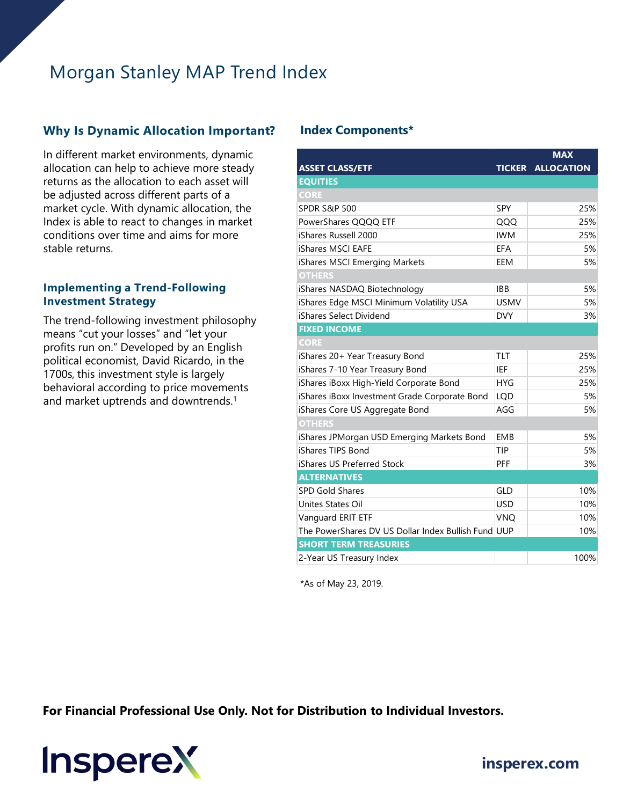# Morgan Stanley MAP Trend Index

# **Why Is Dynamic Allocation Important? Index Components\***

In different market environments, dynamic allocation can help to achieve more steady returns as the allocation to each asset will be adjusted across different parts of a market cycle. With dynamic allocation, the Index is able to react to changes in market conditions over time and aims for more stable returns.

### **Implementing a Trend-Following Investment Strategy**

The trend-following investment philosophy means "cut your losses" and "let your profits run on." Developed by an English political economist, David Ricardo, in the 1700s, this investment style is largely behavioral according to price movements and market uptrends and downtrends.<sup>1</sup>

|                                                     |             | <b>MAX</b>               |
|-----------------------------------------------------|-------------|--------------------------|
| <b>ASSET CLASS/ETF</b>                              |             | <b>TICKER ALLOCATION</b> |
| <b>EQUITIES</b>                                     |             |                          |
| <b>CORE</b>                                         |             |                          |
| <b>SPDR S&amp;P 500</b>                             | SPY         | 25%                      |
| PowerShares QQQQ ETF                                | QQQ         | 25%                      |
| iShares Russell 2000                                | <b>IWM</b>  | 25%                      |
| <b>iShares MSCI EAFE</b>                            | <b>EFA</b>  | 5%                       |
| iShares MSCI Emerging Markets                       | EEM         | 5%                       |
| <b>OTHERS</b>                                       |             |                          |
| iShares NASDAQ Biotechnology                        | <b>IBB</b>  | 5%                       |
| iShares Edge MSCI Minimum Volatility USA            | <b>USMV</b> | 5%                       |
| iShares Select Dividend                             | <b>DVY</b>  | 3%                       |
| <b>FIXED INCOME</b>                                 |             |                          |
| <b>CORE</b>                                         |             |                          |
| iShares 20+ Year Treasury Bond                      | <b>TLT</b>  | 25%                      |
| iShares 7-10 Year Treasury Bond                     | IEF         | 25%                      |
| iShares iBoxx High-Yield Corporate Bond             | <b>HYG</b>  | 25%                      |
| iShares iBoxx Investment Grade Corporate Bond       | <b>LQD</b>  | 5%                       |
| iShares Core US Aggregate Bond                      | AGG         | 5%                       |
| <b>OTHERS</b>                                       |             |                          |
| iShares JPMorgan USD Emerging Markets Bond          | <b>EMB</b>  | 5%                       |
| iShares TIPS Bond                                   | TIP         | 5%                       |
| iShares US Preferred Stock                          | PFF         | 3%                       |
| <b>ALTERNATIVES</b>                                 |             |                          |
| <b>SPD Gold Shares</b>                              | <b>GLD</b>  | 10%                      |
| Unites States Oil                                   | <b>USD</b>  | 10%                      |
| Vanguard ERIT ETF                                   | <b>VNQ</b>  | 10%                      |
| The PowerShares DV US Dollar Index Bullish Fund UUP |             | 10%                      |
| <b>SHORT TERM TREASURIES</b>                        |             |                          |
| 2-Year US Treasury Index                            |             | 100%                     |

\*As of May 23, 2019.

**For Financial Professional Use Only. Not for Distribution to Individual Investors.** 

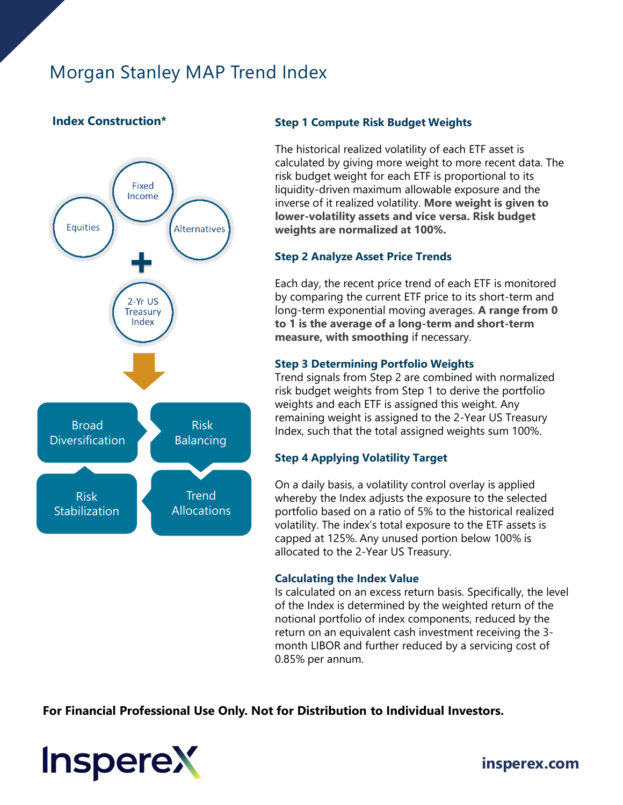# Morgan Stanley MAP Trend Index

# **Index Construction\***



### **Step 1 Compute Risk Budget Weights**

The historical realized volatility of each ETF asset is calculated by giving more weight to more recent data. The risk budget weight for each ETF is proportional to its liquidity-driven maximum allowable exposure and the inverse of it realized volatility. **More weight is given to lower-volatility assets and vice versa. Risk budget weights are normalized at 100%.**

### **Step 2 Analyze Asset Price Trends**

Each day, the recent price trend of each ETF is monitored by comparing the current ETF price to its short-term and long-term exponential moving averages. **A range from 0 to 1 is the average of a long-term and short-term measure, with smoothing** if necessary.

### **Step 3 Determining Portfolio Weights**

Trend signals from Step 2 are combined with normalized risk budget weights from Step 1 to derive the portfolio weights and each ETF is assigned this weight. Any remaining weight is assigned to the 2-Year US Treasury Index, such that the total assigned weights sum 100%.

### **Step 4 Applying Volatility Target**

On a daily basis, a volatility control overlay is applied whereby the Index adjusts the exposure to the selected portfolio based on a ratio of 5% to the historical realized volatility. The index's total exposure to the ETF assets is capped at 125%. Any unused portion below 100% is allocated to the 2-Year US Treasury.

### **Calculating the Index Value**

Is calculated on an excess return basis. Specifically, the level of the Index is determined by the weighted return of the notional portfolio of index components, reduced by the return on an equivalent cash investment receiving the 3 month LIBOR and further reduced by a servicing cost of 0.85% per annum.

**For Financial Professional Use Only. Not for Distribution to Individual Investors.**